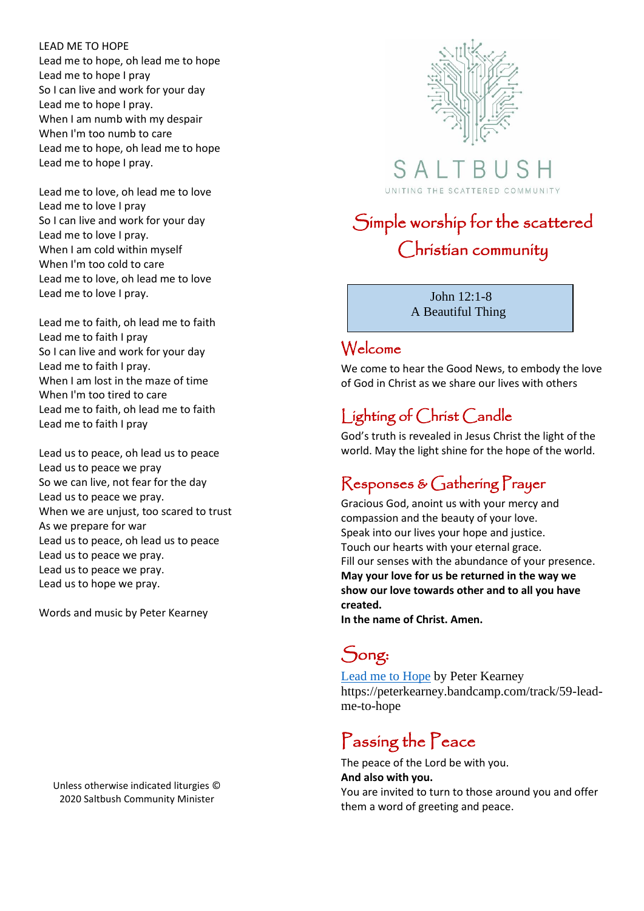#### LEAD ME TO HOPE

Lead me to hope, oh lead me to hope Lead me to hope I pray So I can live and work for your day Lead me to hope I pray. When I am numb with my despair When I'm too numb to care Lead me to hope, oh lead me to hope Lead me to hope I pray.

Lead me to love, oh lead me to love Lead me to love I pray So I can live and work for your day Lead me to love I pray. When I am cold within myself When I'm too cold to care Lead me to love, oh lead me to love Lead me to love I pray.

Lead me to faith, oh lead me to faith Lead me to faith I pray So I can live and work for your day Lead me to faith I pray. When I am lost in the maze of time When I'm too tired to care Lead me to faith, oh lead me to faith Lead me to faith I pray

Lead us to peace, oh lead us to peace Lead us to peace we pray So we can live, not fear for the day Lead us to peace we pray. When we are unjust, too scared to trust As we prepare for war Lead us to peace, oh lead us to peace Lead us to peace we pray. Lead us to peace we pray. Lead us to hope we pray.

Words and music by Peter Kearney

Unless otherwise indicated liturgies © 2020 Saltbush Community Minister



 $S$  A  $\perp$ UNITING THE SCATTERED COMMUNITY

# Simple worship for the scattered Christian community

 John 12:1-8 A Beautiful Thing

### Welcome

We come to hear the Good News, to embody the love of God in Christ as we share our lives with others

### Lighting of Christ Candle

God's truth is revealed in Jesus Christ the light of the world. May the light shine for the hope of the world.

### Responses & Gathering Prayer

Gracious God, anoint us with your mercy and compassion and the beauty of your love. Speak into our lives your hope and justice. Touch our hearts with your eternal grace. Fill our senses with the abundance of your presence. **May your love for us be returned in the way we show our love towards other and to all you have created.** 

**In the name of Christ. Amen.**

# Song:

[Lead me to Hope](https://peterkearney.bandcamp.com/track/59-lead-me-to-hope) by Peter Kearney https://peterkearney.bandcamp.com/track/59-leadme-to-hope

# Passing the Peace

The peace of the Lord be with you.

#### **And also with you.**

You are invited to turn to those around you and offer them a word of greeting and peace.